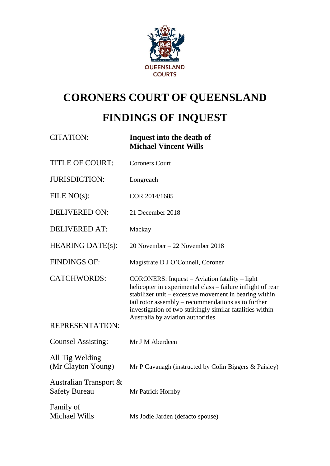

# **CORONERS COURT OF QUEENSLAND**

# **FINDINGS OF INQUEST**

| <b>CITATION:</b>                               | Inquest into the death of<br><b>Michael Vincent Wills</b>                                                                                                                                                                                                                                                                       |
|------------------------------------------------|---------------------------------------------------------------------------------------------------------------------------------------------------------------------------------------------------------------------------------------------------------------------------------------------------------------------------------|
| <b>TITLE OF COURT:</b>                         | <b>Coroners Court</b>                                                                                                                                                                                                                                                                                                           |
| <b>JURISDICTION:</b>                           | Longreach                                                                                                                                                                                                                                                                                                                       |
| FILE $NO(s)$ :                                 | COR 2014/1685                                                                                                                                                                                                                                                                                                                   |
| <b>DELIVERED ON:</b>                           | 21 December 2018                                                                                                                                                                                                                                                                                                                |
| <b>DELIVERED AT:</b>                           | Mackay                                                                                                                                                                                                                                                                                                                          |
| <b>HEARING DATE(s):</b>                        | 20 November – 22 November 2018                                                                                                                                                                                                                                                                                                  |
| <b>FINDINGS OF:</b>                            | Magistrate D J O'Connell, Coroner                                                                                                                                                                                                                                                                                               |
| <b>CATCHWORDS:</b>                             | CORONERS: Inquest - Aviation fatality - light<br>helicopter in experimental class – failure inflight of rear<br>stabilizer unit - excessive movement in bearing within<br>tail rotor assembly - recommendations as to further<br>investigation of two strikingly similar fatalities within<br>Australia by aviation authorities |
| <b>REPRESENTATION:</b>                         |                                                                                                                                                                                                                                                                                                                                 |
| <b>Counsel Assisting:</b>                      | Mr J M Aberdeen                                                                                                                                                                                                                                                                                                                 |
| All Tig Welding<br>(Mr Clayton Young)          | Mr P Cavanagh (instructed by Colin Biggers & Paisley)                                                                                                                                                                                                                                                                           |
| Australian Transport &<br><b>Safety Bureau</b> | Mr Patrick Hornby                                                                                                                                                                                                                                                                                                               |
| Family of<br>Michael Wills                     | Ms Jodie Jarden (defacto spouse)                                                                                                                                                                                                                                                                                                |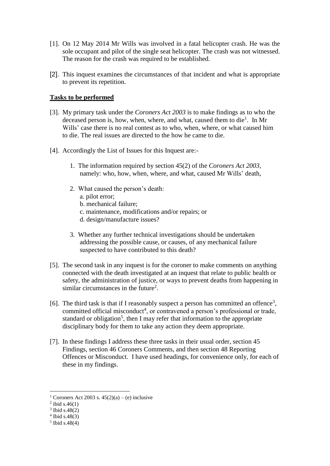- [1]. On 12 May 2014 Mr Wills was involved in a fatal helicopter crash. He was the sole occupant and pilot of the single seat helicopter. The crash was not witnessed. The reason for the crash was required to be established.
- [2]. This inquest examines the circumstances of that incident and what is appropriate to prevent its repetition.

# **Tasks to be performed**

- [3]. My primary task under the *Coroners Act 2003* is to make findings as to who the deceased person is, how, when, where, and what, caused them to die<sup>1</sup>. In Mr Wills' case there is no real contest as to who, when, where, or what caused him to die. The real issues are directed to the how he came to die.
- [4]. Accordingly the List of Issues for this Inquest are:-
	- 1. The information required by section 45(2) of the *Coroners Act 2003*, namely: who, how, when, where, and what, caused Mr Wills' death,
	- 2. What caused the person's death:
		- a. pilot error;
		- b. mechanical failure;
		- c. maintenance, modifications and/or repairs; or
		- d. design/manufacture issues?
	- 3. Whether any further technical investigations should be undertaken addressing the possible cause, or causes, of any mechanical failure suspected to have contributed to this death?
- [5]. The second task in any inquest is for the coroner to make comments on anything connected with the death investigated at an inquest that relate to public health or safety, the administration of justice, or ways to prevent deaths from happening in similar circumstances in the future<sup>2</sup>.
- [6]. The third task is that if I reasonably suspect a person has committed an offence<sup>3</sup>, committed official misconduct<sup>4</sup>, or contravened a person's professional or trade, standard or obligation<sup>5</sup>, then I may refer that information to the appropriate disciplinary body for them to take any action they deem appropriate.
- [7]. In these findings I address these three tasks in their usual order, section 45 Findings, section 46 Coroners Comments, and then section 48 Reporting Offences or Misconduct. I have used headings, for convenience only, for each of these in my findings.

<u>.</u>

<sup>&</sup>lt;sup>1</sup> Coroners Act 2003 s.  $45(2)(a) - (e)$  inclusive

 $2$  ibid s.46(1)

<sup>3</sup> Ibid s.48(2)

<sup>4</sup> Ibid s.48(3)

<sup>5</sup> Ibid s.48(4)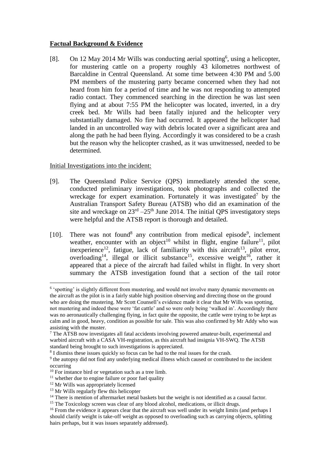# **Factual Background & Evidence**

[8]. On 12 May 2014 Mr Wills was conducting aerial spotting<sup>6</sup>, using a helicopter, for mustering cattle on a property roughly 43 kilometres northwest of Barcaldine in Central Queensland. At some time between 4:30 PM and 5.00 PM members of the mustering party became concerned when they had not heard from him for a period of time and he was not responding to attempted radio contact. They commenced searching in the direction he was last seen flying and at about 7:55 PM the helicopter was located, inverted, in a dry creek bed. Mr Wills had been fatally injured and the helicopter very substantially damaged. No fire had occurred. It appeared the helicopter had landed in an uncontrolled way with debris located over a significant area and along the path he had been flying. Accordingly it was considered to be a crash but the reason why the helicopter crashed, as it was unwitnessed, needed to be determined.

# Initial Investigations into the incident:

- [9]. The Queensland Police Service (QPS) immediately attended the scene, conducted preliminary investigations, took photographs and collected the wreckage for expert examination. Fortunately it was investigated<sup>7</sup> by the Australian Transport Safety Bureau (ATSB) who did an examination of the site and wreckage on  $23<sup>rd</sup> - 25<sup>th</sup>$  June 2014. The initial QPS investigatory steps were helpful and the ATSB report is thorough and detailed.
- [10]. There was not found<sup>8</sup> any contribution from medical episode<sup>9</sup>, inclement weather, encounter with an object<sup>10</sup> whilst in flight, engine failure<sup>11</sup>, pilot inexperience<sup>12</sup>, fatigue, lack of familiarity with this aircraft<sup>13</sup>, pilot error, overloading<sup>14</sup>, illegal or illicit substance<sup>15</sup>, excessive weight<sup>16</sup>, rather it appeared that a piece of the aircraft had failed whilst in flight. In very short summary the ATSB investigation found that a section of the tail rotor

<sup>&</sup>lt;sup>6</sup> 'spotting' is slightly different from mustering, and would not involve many dynamic movements on the aircraft as the pilot is in a fairly stable high position observing and directing those on the ground who are doing the mustering. Mr Scott Counsell's evidence made it clear that Mr Wills was spotting, not mustering and indeed these were 'fat cattle' and so were only being 'walked in'. Accordingly there was no aeronautically challenging flying, in fact quite the opposite, the cattle were trying to be kept as calm and in good, heavy, condition as possible for sale. This was also confirmed by Mr Addy who was assisting with the muster.

<sup>&</sup>lt;sup>7</sup> The ATSB now investigates all fatal accidents involving powered amateur-built, experimental and warbird aircraft with a CASA VH-registration, as this aircraft had insignia VH-SWQ. The ATSB standard being brought to such investigations is appreciated.

<sup>&</sup>lt;sup>8</sup> I dismiss these issues quickly so focus can be had to the real issues for the crash.

<sup>&</sup>lt;sup>9</sup> the autopsy did not find any underlying medical illness which caused or contributed to the incident occurring

<sup>&</sup>lt;sup>10</sup> For instance bird or vegetation such as a tree limb.

 $11$  whether due to engine failure or poor fuel quality

<sup>&</sup>lt;sup>12</sup> Mr Wills was appropriately licensed

 $13$  Mr Wills regularly flew this helicopter

<sup>&</sup>lt;sup>14</sup> There is mention of aftermarket metal baskets but the weight is not identified as a causal factor.

<sup>&</sup>lt;sup>15</sup> The Toxicology screen was clear of any blood alcohol, medications, or illicit drugs.

<sup>&</sup>lt;sup>16</sup> From the evidence it appears clear that the aircraft was well under its weight limits (and perhaps I should clarify weight is take-off weight as opposed to overloading such as carrying objects, splitting hairs perhaps, but it was issues separately addressed).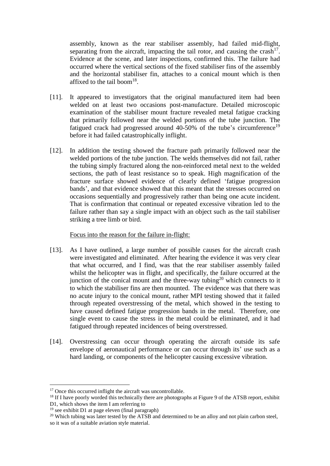assembly, known as the rear stabiliser assembly, had failed mid-flight, separating from the aircraft, impacting the tail rotor, and causing the crash<sup>17</sup>. Evidence at the scene, and later inspections, confirmed this. The failure had occurred where the vertical sections of the fixed stabiliser fins of the assembly and the horizontal stabiliser fin, attaches to a conical mount which is then affixed to the tail boom $^{18}$ .

- [11]. It appeared to investigators that the original manufactured item had been welded on at least two occasions post-manufacture. Detailed microscopic examination of the stabiliser mount fracture revealed metal fatigue cracking that primarily followed near the welded portions of the tube junction. The fatigued crack had progressed around 40-50% of the tube's circumference<sup>19</sup> before it had failed catastrophically inflight.
- [12]. In addition the testing showed the fracture path primarily followed near the welded portions of the tube junction. The welds themselves did not fail, rather the tubing simply fractured along the non-reinforced metal next to the welded sections, the path of least resistance so to speak. High magnification of the fracture surface showed evidence of clearly defined 'fatigue progression bands', and that evidence showed that this meant that the stresses occurred on occasions sequentially and progressively rather than being one acute incident. That is confirmation that continual or repeated excessive vibration led to the failure rather than say a single impact with an object such as the tail stabiliser striking a tree limb or bird.

#### Focus into the reason for the failure in-flight:

- [13]. As I have outlined, a large number of possible causes for the aircraft crash were investigated and eliminated. After hearing the evidence it was very clear that what occurred, and I find, was that the rear stabiliser assembly failed whilst the helicopter was in flight, and specifically, the failure occurred at the junction of the conical mount and the three-way tubing<sup>20</sup> which connects to it to which the stabiliser fins are then mounted. The evidence was that there was no acute injury to the conical mount, rather MPI testing showed that it failed through repeated overstressing of the metal, which showed in the testing to have caused defined fatigue progression bands in the metal. Therefore, one single event to cause the stress in the metal could be eliminated, and it had fatigued through repeated incidences of being overstressed.
- [14]. Overstressing can occur through operating the aircraft outside its safe envelope of aeronautical performance or can occur through its' use such as a hard landing, or components of the helicopter causing excessive vibration.

<sup>&</sup>lt;sup>17</sup> Once this occurred inflight the aircraft was uncontrollable.

<sup>&</sup>lt;sup>18</sup> If I have poorly worded this technically there are photographs at Figure 9 of the ATSB report, exhibit D1, which shows the item I am referring to

<sup>&</sup>lt;sup>19</sup> see exhibit D1 at page eleven (final paragraph)

 $^{20}$  Which tubing was later tested by the ATSB and determined to be an alloy and not plain carbon steel. so it was of a suitable aviation style material.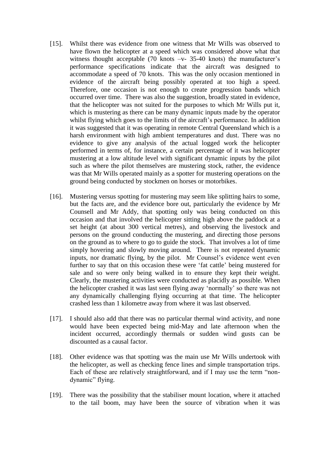- [15]. Whilst there was evidence from one witness that Mr Wills was observed to have flown the helicopter at a speed which was considered above what that witness thought acceptable (70 knots  $-v-$  35-40 knots) the manufacturer's performance specifications indicate that the aircraft was designed to accommodate a speed of 70 knots. This was the only occasion mentioned in evidence of the aircraft being possibly operated at too high a speed. Therefore, one occasion is not enough to create progression bands which occurred over time. There was also the suggestion, broadly stated in evidence, that the helicopter was not suited for the purposes to which Mr Wills put it, which is mustering as there can be many dynamic inputs made by the operator whilst flying which goes to the limits of the aircraft's performance. In addition it was suggested that it was operating in remote Central Queensland which is a harsh environment with high ambient temperatures and dust. There was no evidence to give any analysis of the actual logged work the helicopter performed in terms of, for instance, a certain percentage of it was helicopter mustering at a low altitude level with significant dynamic inputs by the pilot such as where the pilot themselves are mustering stock, rather, the evidence was that Mr Wills operated mainly as a spotter for mustering operations on the ground being conducted by stockmen on horses or motorbikes.
- [16]. Mustering versus spotting for mustering may seem like splitting hairs to some, but the facts are, and the evidence bore out, particularly the evidence by Mr Counsell and Mr Addy, that spotting only was being conducted on this occasion and that involved the helicopter sitting high above the paddock at a set height (at about 300 vertical metres), and observing the livestock and persons on the ground conducting the mustering, and directing those persons on the ground as to where to go to guide the stock. That involves a lot of time simply hovering and slowly moving around. There is not repeated dynamic inputs, nor dramatic flying, by the pilot. Mr Counsel's evidence went even further to say that on this occasion these were 'fat cattle' being mustered for sale and so were only being walked in to ensure they kept their weight. Clearly, the mustering activities were conducted as placidly as possible. When the helicopter crashed it was last seen flying away 'normally' so there was not any dynamically challenging flying occurring at that time. The helicopter crashed less than 1 kilometre away from where it was last observed.
- [17]. I should also add that there was no particular thermal wind activity, and none would have been expected being mid-May and late afternoon when the incident occurred, accordingly thermals or sudden wind gusts can be discounted as a causal factor.
- [18]. Other evidence was that spotting was the main use Mr Wills undertook with the helicopter, as well as checking fence lines and simple transportation trips. Each of these are relatively straightforward, and if I may use the term "nondynamic" flying.
- [19]. There was the possibility that the stabiliser mount location, where it attached to the tail boom, may have been the source of vibration when it was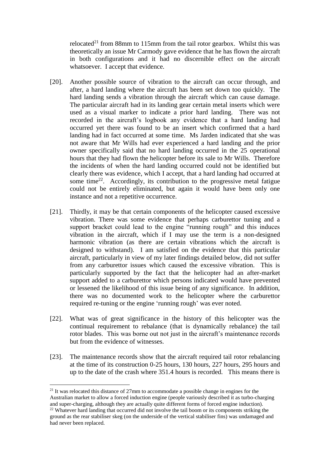relocated<sup>21</sup> from 88mm to 115mm from the tail rotor gearbox. Whilst this was theoretically an issue Mr Carmody gave evidence that he has flown the aircraft in both configurations and it had no discernible effect on the aircraft whatsoever. I accept that evidence.

- [20]. Another possible source of vibration to the aircraft can occur through, and after, a hard landing where the aircraft has been set down too quickly. The hard landing sends a vibration through the aircraft which can cause damage. The particular aircraft had in its landing gear certain metal inserts which were used as a visual marker to indicate a prior hard landing. There was not recorded in the aircraft's logbook any evidence that a hard landing had occurred yet there was found to be an insert which confirmed that a hard landing had in fact occurred at some time. Ms Jarden indicated that she was not aware that Mr Wills had ever experienced a hard landing and the prior owner specifically said that no hard landing occurred in the 25 operational hours that they had flown the helicopter before its sale to Mr Wills. Therefore the incidents of when the hard landing occurred could not be identified but clearly there was evidence, which I accept, that a hard landing had occurred at some time<sup>22</sup>. Accordingly, its contribution to the progressive metal fatigue could not be entirely eliminated, but again it would have been only one instance and not a repetitive occurrence.
- [21]. Thirdly, it may be that certain components of the helicopter caused excessive vibration. There was some evidence that perhaps carburettor tuning and a support bracket could lead to the engine "running rough" and this induces vibration in the aircraft, which if I may use the term is a non-designed harmonic vibration (as there are certain vibrations which the aircraft is designed to withstand). I am satisfied on the evidence that this particular aircraft, particularly in view of my later findings detailed below, did not suffer from any carburettor issues which caused the excessive vibration. This is particularly supported by the fact that the helicopter had an after-market support added to a carburettor which persons indicated would have prevented or lessened the likelihood of this issue being of any significance. In addition, there was no documented work to the helicopter where the carburettor required re-tuning or the engine 'running rough' was ever noted.
- [22]. What was of great significance in the history of this helicopter was the continual requirement to rebalance (that is dynamically rebalance) the tail rotor blades. This was borne out not just in the aircraft's maintenance records but from the evidence of witnesses.
- [23]. The maintenance records show that the aircraft required tail rotor rebalancing at the time of its construction 0-25 hours, 130 hours, 227 hours, 295 hours and up to the date of the crash where 351.4 hours is recorded. This means there is

<sup>&</sup>lt;sup>21</sup> It was relocated this distance of 27mm to accommodate a possible change in engines for the Australian market to allow a forced induction engine (people variously described it as turbo-charging and super-charging, although they are actually quite different forms of forced engine induction). <sup>22</sup> Whatever hard landing that occurred did not involve the tail boom or its components striking the

ground as the rear stabiliser skeg (on the underside of the vertical stabiliser fins) was undamaged and had never been replaced.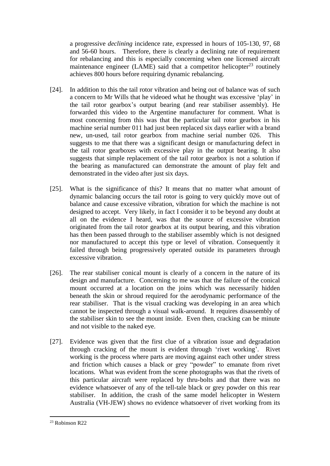a progressive *declining* incidence rate, expressed in hours of 105-130, 97, 68 and 56-60 hours. Therefore, there is clearly a declining rate of requirement for rebalancing and this is especially concerning when one licensed aircraft maintenance engineer  $(LAME)$  said that a competitor helicopter<sup>23</sup> routinely achieves 800 hours before requiring dynamic rebalancing.

- [24]. In addition to this the tail rotor vibration and being out of balance was of such a concern to Mr Wills that he videoed what he thought was excessive 'play' in the tail rotor gearbox's output bearing (and rear stabiliser assembly). He forwarded this video to the Argentine manufacturer for comment. What is most concerning from this was that the particular tail rotor gearbox in his machine serial number 011 had just been replaced six days earlier with a brand new, un-used, tail rotor gearbox from machine serial number 026. This suggests to me that there was a significant design or manufacturing defect in the tail rotor gearboxes with excessive play in the output bearing. It also suggests that simple replacement of the tail rotor gearbox is not a solution if the bearing as manufactured can demonstrate the amount of play felt and demonstrated in the video after just six days.
- [25]. What is the significance of this? It means that no matter what amount of dynamic balancing occurs the tail rotor is going to very quickly move out of balance and cause excessive vibration, vibration for which the machine is not designed to accept. Very likely, in fact I consider it to be beyond any doubt at all on the evidence I heard, was that the source of excessive vibration originated from the tail rotor gearbox at its output bearing, and this vibration has then been passed through to the stabiliser assembly which is not designed nor manufactured to accept this type or level of vibration. Consequently it failed through being progressively operated outside its parameters through excessive vibration.
- [26]. The rear stabiliser conical mount is clearly of a concern in the nature of its design and manufacture. Concerning to me was that the failure of the conical mount occurred at a location on the joins which was necessarily hidden beneath the skin or shroud required for the aerodynamic performance of the rear stabiliser. That is the visual cracking was developing in an area which cannot be inspected through a visual walk-around. It requires disassembly of the stabiliser skin to see the mount inside. Even then, cracking can be minute and not visible to the naked eye.
- [27]. Evidence was given that the first clue of a vibration issue and degradation through cracking of the mount is evident through 'rivet working'. Rivet working is the process where parts are moving against each other under stress and friction which causes a black or grey "powder" to emanate from rivet locations. What was evident from the scene photographs was that the rivets of this particular aircraft were replaced by thru-bolts and that there was no evidence whatsoever of any of the tell-tale black or grey powder on this rear stabiliser. In addition, the crash of the same model helicopter in Western Australia (VH-JEW) shows no evidence whatsoever of rivet working from its

<sup>23</sup> Robinson R22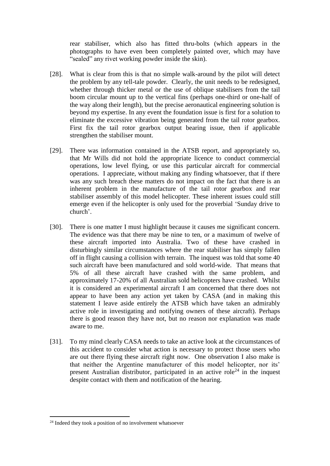rear stabiliser, which also has fitted thru-bolts (which appears in the photographs to have even been completely painted over, which may have "sealed" any rivet working powder inside the skin).

- [28]. What is clear from this is that no simple walk-around by the pilot will detect the problem by any tell-tale powder. Clearly, the unit needs to be redesigned, whether through thicker metal or the use of oblique stabilisers from the tail boom circular mount up to the vertical fins (perhaps one-third or one-half of the way along their length), but the precise aeronautical engineering solution is beyond my expertise. In any event the foundation issue is first for a solution to eliminate the excessive vibration being generated from the tail rotor gearbox. First fix the tail rotor gearbox output bearing issue, then if applicable strengthen the stabiliser mount.
- [29]. There was information contained in the ATSB report, and appropriately so, that Mr Wills did not hold the appropriate licence to conduct commercial operations, low level flying, or use this particular aircraft for commercial operations. I appreciate, without making any finding whatsoever, that if there was any such breach these matters do not impact on the fact that there is an inherent problem in the manufacture of the tail rotor gearbox and rear stabiliser assembly of this model helicopter. These inherent issues could still emerge even if the helicopter is only used for the proverbial 'Sunday drive to church'.
- [30]. There is one matter I must highlight because it causes me significant concern. The evidence was that there may be nine to ten, or a maximum of twelve of these aircraft imported into Australia. Two of these have crashed in disturbingly similar circumstances where the rear stabiliser has simply fallen off in flight causing a collision with terrain. The inquest was told that some 40 such aircraft have been manufactured and sold world-wide. That means that 5% of all these aircraft have crashed with the same problem, and approximately 17-20% of all Australian sold helicopters have crashed. Whilst it is considered an experimental aircraft I am concerned that there does not appear to have been any action yet taken by CASA (and in making this statement I leave aside entirely the ATSB which have taken an admirably active role in investigating and notifying owners of these aircraft). Perhaps there is good reason they have not, but no reason nor explanation was made aware to me.
- [31]. To my mind clearly CASA needs to take an active look at the circumstances of this accident to consider what action is necessary to protect those users who are out there flying these aircraft right now. One observation I also make is that neither the Argentine manufacturer of this model helicopter, nor its' present Australian distributor, participated in an active role<sup>24</sup> in the inquest despite contact with them and notification of the hearing.

<sup>&</sup>lt;sup>24</sup> Indeed they took a position of no involvement whatsoever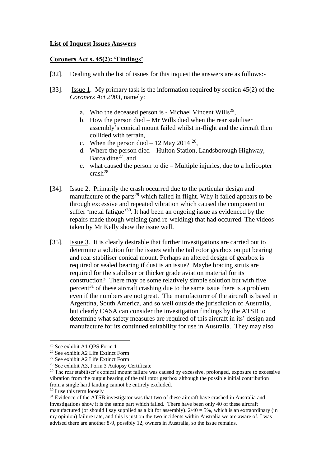# **List of Inquest Issues Answers**

# **Coroners Act s. 45(2): 'Findings'**

- [32]. Dealing with the list of issues for this inquest the answers are as follows:-
- [33]. Issue 1. My primary task is the information required by section 45(2) of the *Coroners Act 2003*, namely:
	- a. Who the deceased person is Michael Vincent Wills<sup>25</sup>,
	- b. How the person died Mr Wills died when the rear stabiliser assembly's conical mount failed whilst in-flight and the aircraft then collided with terrain,
	- c. When the person died  $-12$  May 2014<sup>26</sup>,
	- d. Where the person died Hulton Station, Landsborough Highway, Barcaldine<sup>27</sup>, and
	- e. what caused the person to die Multiple injuries, due to a helicopter  $crash<sup>28</sup>$
- [34]. Issue 2. Primarily the crash occurred due to the particular design and manufacture of the parts<sup>29</sup> which failed in flight. Why it failed appears to be through excessive and repeated vibration which caused the component to suffer 'metal fatigue'<sup>30</sup>. It had been an ongoing issue as evidenced by the repairs made though welding (and re-welding) that had occurred. The videos taken by Mr Kelly show the issue well.
- [35]. Issue 3. It is clearly desirable that further investigations are carried out to determine a solution for the issues with the tail rotor gearbox output bearing and rear stabiliser conical mount. Perhaps an altered design of gearbox is required or sealed bearing if dust is an issue? Maybe bracing struts are required for the stabiliser or thicker grade aviation material for its construction? There may be some relatively simple solution but with five percent<sup>31</sup> of these aircraft crashing due to the same issue there is a problem even if the numbers are not great. The manufacturer of the aircraft is based in Argentina, South America, and so well outside the jurisdiction of Australia, but clearly CASA can consider the investigation findings by the ATSB to determine what safety measures are required of this aircraft in its' design and manufacture for its continued suitability for use in Australia. They may also

<sup>25</sup> See exhibit A1 QPS Form 1

<sup>26</sup> See exhibit A2 Life Extinct Form

<sup>27</sup> See exhibit A2 Life Extinct Form

<sup>28</sup> See exhibit A3, Form 3 Autopsy Certificate

<sup>&</sup>lt;sup>29</sup> The rear stabiliser's conical mount failure was caused by excessive, prolonged, exposure to excessive vibration from the output bearing of the tail rotor gearbox although the possible initial contribution from a single hard landing cannot be entirely excluded.

<sup>&</sup>lt;sup>30</sup> I use this term loosely

<sup>&</sup>lt;sup>31</sup> Evidence of the ATSB investigator was that two of these aircraft have crashed in Australia and investigations show it is the same part which failed. There have been only 40 of these aircraft manufactured (or should I say supplied as a kit for assembly).  $2/40 = 5\%$ , which is an extraordinary (in my opinion) failure rate, and this is just on the two incidents within Australia we are aware of. I was advised there are another 8-9, possibly 12, owners in Australia, so the issue remains.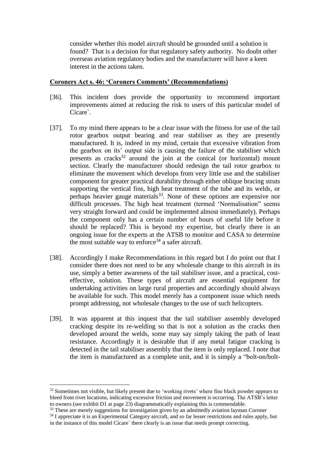consider whether this model aircraft should be grounded until a solution is found? That is a decision for that regulatory safety authority. No doubt other overseas aviation regulatory bodies and the manufacturer will have a keen interest in the actions taken.

# **Coroners Act s. 46: 'Coroners Comments' (Recommendations)**

- [36]. This incident does provide the opportunity to recommend important improvements aimed at reducing the risk to users of this particular model of Cicare`.
- [37]. To my mind there appears to be a clear issue with the fitness for use of the tail rotor gearbox output bearing and rear stabiliser as they are presently manufactured. It is, indeed in my mind, certain that excessive vibration from the gearbox on its' output side is causing the failure of the stabiliser which presents as cracks<sup>32</sup> around the join at the conical (or horizontal) mount section. Clearly the manufacturer should redesign the tail rotor gearbox to eliminate the movement which develops from very little use and the stabiliser component for greater practical durability through either oblique bracing struts supporting the vertical fins, high heat treatment of the tube and its welds, or perhaps heavier gauge materials<sup>33</sup>. None of these options are expensive nor difficult processes. The high heat treatment (termed 'Normalisation" seems very straight forward and could be implemented almost immediately). Perhaps the component only has a certain number of hours of useful life before it should be replaced? This is beyond my expertise, but clearly there is an ongoing issue for the experts at the ATSB to monitor and CASA to determine the most suitable way to enforce<sup>34</sup> a safer aircraft.
- [38]. Accordingly I make Recommendations in this regard but I do point out that I consider there does not need to be any wholesale change to this aircraft in its use, simply a better awareness of the tail stabiliser issue, and a practical, costeffective, solution. These types of aircraft are essential equipment for undertaking activities on large rural properties and accordingly should always be available for such. This model merely has a component issue which needs prompt addressing, not wholesale changes to the use of such helicopters.
- [39]. It was apparent at this inquest that the tail stabiliser assembly developed cracking despite its re-welding so that is not a solution as the cracks then developed around the welds, some may say simply taking the path of least resistance. Accordingly it is desirable that if any metal fatigue cracking is detected in the tail stabiliser assembly that the item is only replaced. I note that the item is manufactured as a complete unit, and it is simply a "bolt-on/bolt-

<sup>&</sup>lt;sup>32</sup> Sometimes not visible, but likely present due to 'working rivets' where fine black powder appears to bleed from rivet locations, indicating excessive friction and movement is occurring. The ATSB's letter to owners (see exhibit D1 at page 23) diagrammatically explaining this is commendable.

<sup>&</sup>lt;sup>33</sup> These are merely suggestions for investigation given by an admittedly aviation layman Coroner

<sup>&</sup>lt;sup>34</sup> I appreciate it is an Experimental Category aircraft, and so far lesser restrictions and rules apply, but in the instance of this model Cicare` there clearly is an issue that needs prompt correcting.